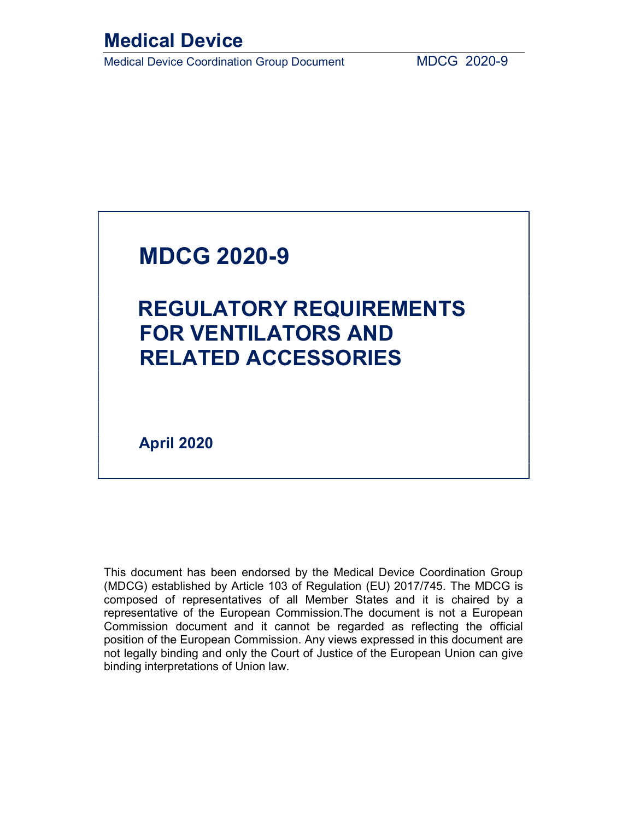## Medical Device

Medical Device Coordination Group Document MDCG 2020-9

## MDCG 2020-9

# REGULATORY REQUIREMENTS FOR VENTILATORS AND RELATED ACCESSORIES

April 2020

This document has been endorsed by the Medical Device Coordination Group (MDCG) established by Article 103 of Regulation (EU) 2017/745. The MDCG is composed of representatives of all Member States and it is chaired by a representative of the European Commission.The document is not a European Commission document and it cannot be regarded as reflecting the official position of the European Commission. Any views expressed in this document are not legally binding and only the Court of Justice of the European Union can give binding interpretations of Union law.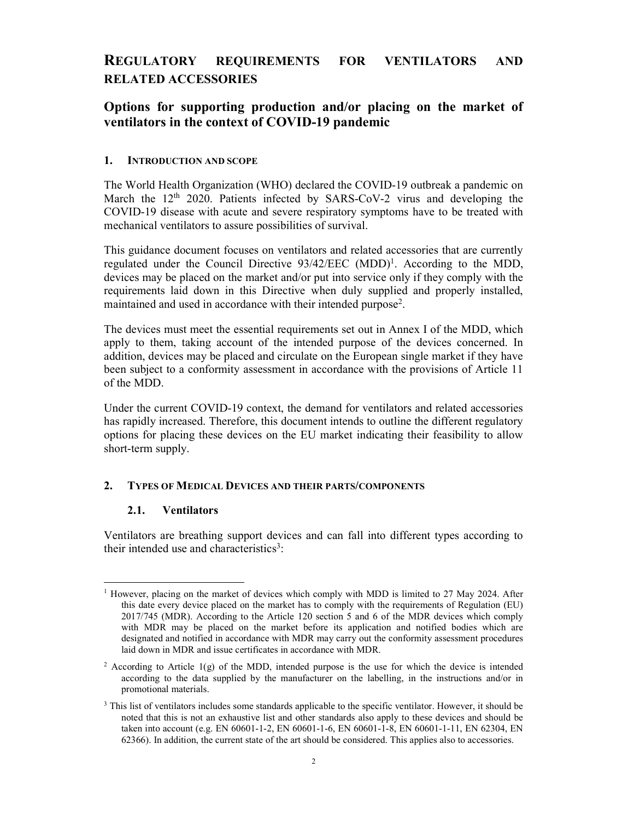## REGULATORY REQUIREMENTS FOR VENTILATORS AND RELATED ACCESSORIES

### Options for supporting production and/or placing on the market of ventilators in the context of COVID-19 pandemic

#### 1. INTRODUCTION AND SCOPE

The World Health Organization (WHO) declared the COVID-19 outbreak a pandemic on March the  $12<sup>th</sup>$  2020. Patients infected by SARS-CoV-2 virus and developing the COVID-19 disease with acute and severe respiratory symptoms have to be treated with mechanical ventilators to assure possibilities of survival.

This guidance document focuses on ventilators and related accessories that are currently regulated under the Council Directive  $93/42/EEC$  (MDD)<sup>1</sup>. According to the MDD, devices may be placed on the market and/or put into service only if they comply with the requirements laid down in this Directive when duly supplied and properly installed, maintained and used in accordance with their intended purpose<sup>2</sup>.

The devices must meet the essential requirements set out in Annex I of the MDD, which apply to them, taking account of the intended purpose of the devices concerned. In addition, devices may be placed and circulate on the European single market if they have been subject to a conformity assessment in accordance with the provisions of Article 11 of the MDD.

Under the current COVID-19 context, the demand for ventilators and related accessories has rapidly increased. Therefore, this document intends to outline the different regulatory options for placing these devices on the EU market indicating their feasibility to allow short-term supply.

#### 2. TYPES OF MEDICAL DEVICES AND THEIR PARTS/COMPONENTS

#### 2.1. Ventilators

Ventilators are breathing support devices and can fall into different types according to their intended use and characteristics<sup>3</sup>:

<sup>-</sup><sup>1</sup> However, placing on the market of devices which comply with MDD is limited to 27 May 2024. After this date every device placed on the market has to comply with the requirements of Regulation (EU) 2017/745 (MDR). According to the Article 120 section 5 and 6 of the MDR devices which comply with MDR may be placed on the market before its application and notified bodies which are designated and notified in accordance with MDR may carry out the conformity assessment procedures laid down in MDR and issue certificates in accordance with MDR.

<sup>&</sup>lt;sup>2</sup> According to Article 1(g) of the MDD, intended purpose is the use for which the device is intended according to the data supplied by the manufacturer on the labelling, in the instructions and/or in promotional materials.

<sup>&</sup>lt;sup>3</sup> This list of ventilators includes some standards applicable to the specific ventilator. However, it should be noted that this is not an exhaustive list and other standards also apply to these devices and should be taken into account (e.g. EN 60601-1-2, EN 60601-1-6, EN 60601-1-8, EN 60601-1-11, EN 62304, EN 62366). In addition, the current state of the art should be considered. This applies also to accessories.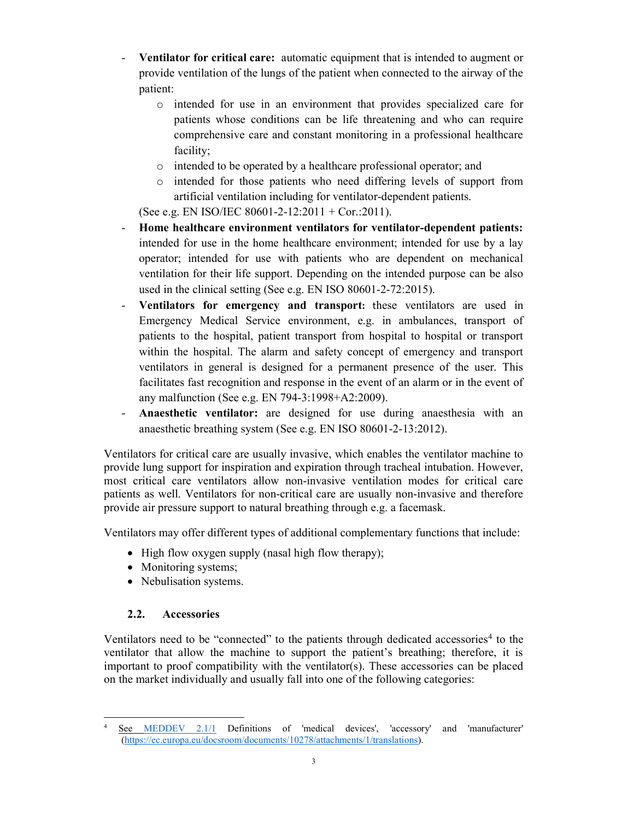- Ventilator for critical care: automatic equipment that is intended to augment or provide ventilation of the lungs of the patient when connected to the airway of the patient:
	- o intended for use in an environment that provides specialized care for patients whose conditions can be life threatening and who can require comprehensive care and constant monitoring in a professional healthcare facility;
	- o intended to be operated by a healthcare professional operator; and
	- o intended for those patients who need differing levels of support from artificial ventilation including for ventilator-dependent patients.

(See e.g. EN ISO/IEC 80601-2-12:2011 + Cor.:2011).

- Home healthcare environment ventilators for ventilator-dependent patients: intended for use in the home healthcare environment; intended for use by a lay operator; intended for use with patients who are dependent on mechanical ventilation for their life support. Depending on the intended purpose can be also used in the clinical setting (See e.g. EN ISO 80601-2-72:2015).
- Ventilators for emergency and transport: these ventilators are used in Emergency Medical Service environment, e.g. in ambulances, transport of patients to the hospital, patient transport from hospital to hospital or transport within the hospital. The alarm and safety concept of emergency and transport ventilators in general is designed for a permanent presence of the user. This facilitates fast recognition and response in the event of an alarm or in the event of any malfunction (See e.g. EN 794-3:1998+A2:2009).
- Anaesthetic ventilator: are designed for use during anaesthesia with an anaesthetic breathing system (See e.g. EN ISO 80601-2-13:2012).

Ventilators for critical care are usually invasive, which enables the ventilator machine to provide lung support for inspiration and expiration through tracheal intubation. However, most critical care ventilators allow non-invasive ventilation modes for critical care patients as well. Ventilators for non-critical care are usually non-invasive and therefore provide air pressure support to natural breathing through e.g. a facemask.

Ventilators may offer different types of additional complementary functions that include:

- $\bullet$  High flow oxygen supply (nasal high flow therapy);
- Monitoring systems;
- Nebulisation systems.

### 2.2. Accessories

Ventilators need to be "connected" to the patients through dedicated accessories<sup>4</sup> to the ventilator that allow the machine to support the patient's breathing; therefore, it is important to proof compatibility with the ventilator(s). These accessories can be placed on the market individually and usually fall into one of the following categories:

<sup>-</sup>4 See MEDDEV 2.1/1 Definitions of 'medical devices', 'accessory' and 'manufacturer' (https://ec.europa.eu/docsroom/documents/10278/attachments/1/translations).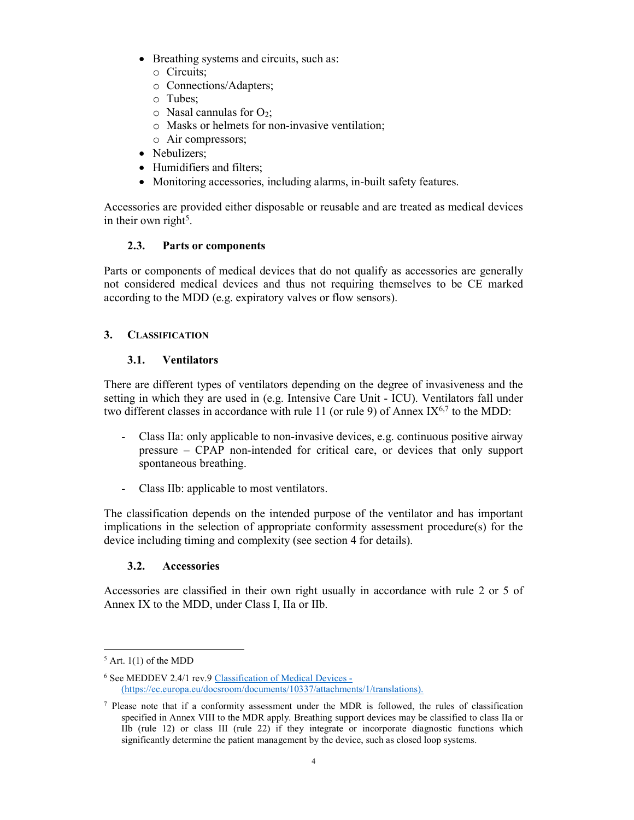- Breathing systems and circuits, such as:
	- o Circuits;
	- o Connections/Adapters;
	- o Tubes;
	- $\circ$  Nasal cannulas for O<sub>2</sub>;
	- o Masks or helmets for non-invasive ventilation;
	- o Air compressors;
- Nebulizers:
- Humidifiers and filters:
- Monitoring accessories, including alarms, in-built safety features.

Accessories are provided either disposable or reusable and are treated as medical devices in their own right<sup>5</sup>.

#### 2.3. Parts or components

Parts or components of medical devices that do not qualify as accessories are generally not considered medical devices and thus not requiring themselves to be CE marked according to the MDD (e.g. expiratory valves or flow sensors).

#### 3. CLASSIFICATION

#### 3.1. Ventilators

There are different types of ventilators depending on the degree of invasiveness and the setting in which they are used in (e.g. Intensive Care Unit - ICU). Ventilators fall under two different classes in accordance with rule 11 (or rule 9) of Annex IX<sup>6,7</sup> to the MDD:

- Class IIa: only applicable to non-invasive devices, e.g. continuous positive airway pressure – CPAP non-intended for critical care, or devices that only support spontaneous breathing.
- Class IIb: applicable to most ventilators.

The classification depends on the intended purpose of the ventilator and has important implications in the selection of appropriate conformity assessment procedure(s) for the device including timing and complexity (see section 4 for details).

#### 3.2. Accessories

Accessories are classified in their own right usually in accordance with rule 2 or 5 of Annex IX to the MDD, under Class I, IIa or IIb.

 $<sup>5</sup>$  Art. 1(1) of the MDD</sup>

<sup>&</sup>lt;sup>6</sup> See MEDDEV 2.4/1 rev.9 Classification of Medical Devices -(https://ec.europa.eu/docsroom/documents/10337/attachments/1/translations).

<sup>7</sup> Please note that if a conformity assessment under the MDR is followed, the rules of classification specified in Annex VIII to the MDR apply. Breathing support devices may be classified to class IIa or IIb (rule 12) or class III (rule 22) if they integrate or incorporate diagnostic functions which significantly determine the patient management by the device, such as closed loop systems.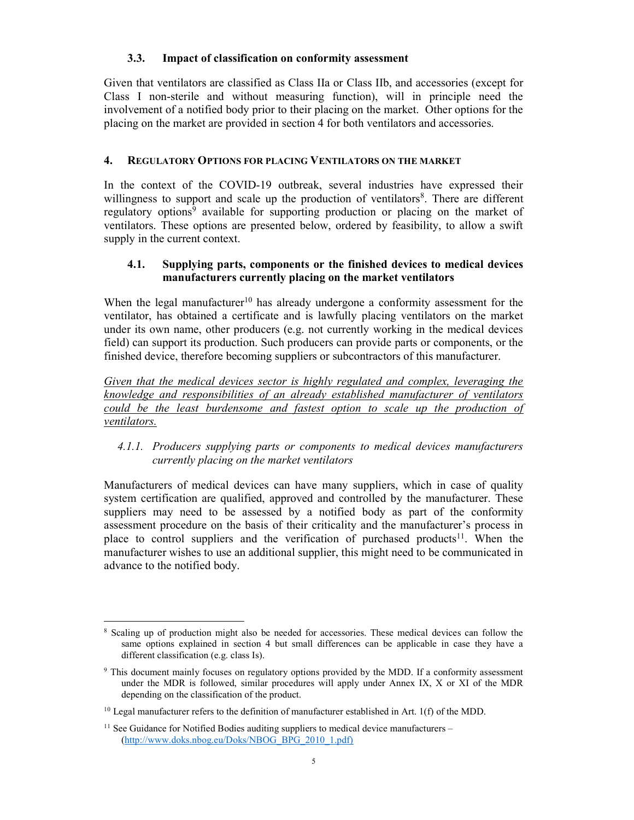#### 3.3. Impact of classification on conformity assessment

Given that ventilators are classified as Class IIa or Class IIb, and accessories (except for Class I non-sterile and without measuring function), will in principle need the involvement of a notified body prior to their placing on the market. Other options for the placing on the market are provided in section 4 for both ventilators and accessories.

#### 4. REGULATORY OPTIONS FOR PLACING VENTILATORS ON THE MARKET

In the context of the COVID-19 outbreak, several industries have expressed their willingness to support and scale up the production of ventilators<sup>8</sup>. There are different regulatory options<sup>9</sup> available for supporting production or placing on the market of ventilators. These options are presented below, ordered by feasibility, to allow a swift supply in the current context.

#### 4.1. Supplying parts, components or the finished devices to medical devices manufacturers currently placing on the market ventilators

When the legal manufacturer<sup>10</sup> has already undergone a conformity assessment for the ventilator, has obtained a certificate and is lawfully placing ventilators on the market under its own name, other producers (e.g. not currently working in the medical devices field) can support its production. Such producers can provide parts or components, or the finished device, therefore becoming suppliers or subcontractors of this manufacturer.

Given that the medical devices sector is highly regulated and complex, leveraging the knowledge and responsibilities of an already established manufacturer of ventilators could be the least burdensome and fastest option to scale up the production of ventilators.

#### 4.1.1. Producers supplying parts or components to medical devices manufacturers currently placing on the market ventilators

Manufacturers of medical devices can have many suppliers, which in case of quality system certification are qualified, approved and controlled by the manufacturer. These suppliers may need to be assessed by a notified body as part of the conformity assessment procedure on the basis of their criticality and the manufacturer's process in place to control suppliers and the verification of purchased products<sup>11</sup>. When the manufacturer wishes to use an additional supplier, this might need to be communicated in advance to the notified body.

<sup>-</sup><sup>8</sup> Scaling up of production might also be needed for accessories. These medical devices can follow the same options explained in section 4 but small differences can be applicable in case they have a different classification (e.g. class Is).

<sup>&</sup>lt;sup>9</sup> This document mainly focuses on regulatory options provided by the MDD. If a conformity assessment under the MDR is followed, similar procedures will apply under Annex IX, X or XI of the MDR depending on the classification of the product.

 $10$  Legal manufacturer refers to the definition of manufacturer established in Art. 1(f) of the MDD.

 $11$  See Guidance for Notified Bodies auditing suppliers to medical device manufacturers – (http://www.doks.nbog.eu/Doks/NBOG\_BPG\_2010\_1.pdf)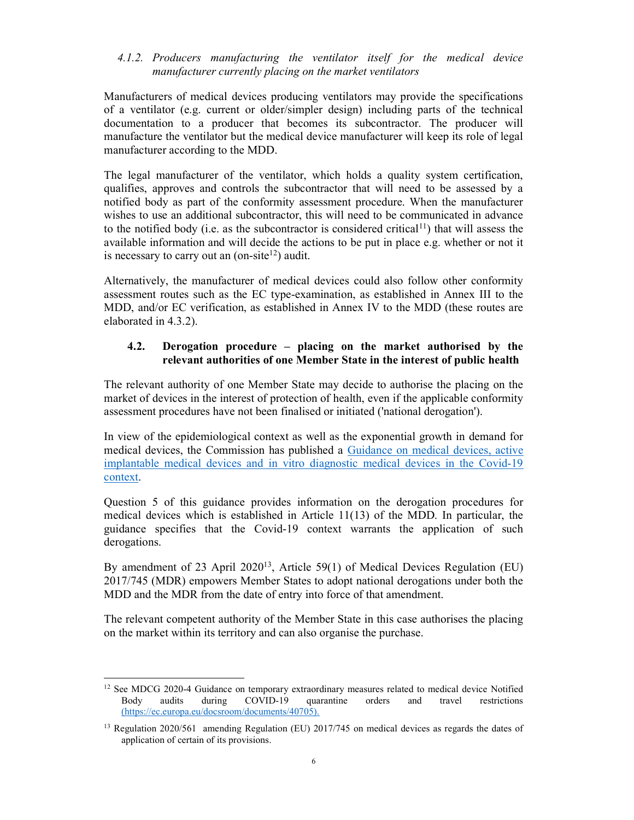#### 4.1.2. Producers manufacturing the ventilator itself for the medical device manufacturer currently placing on the market ventilators

Manufacturers of medical devices producing ventilators may provide the specifications of a ventilator (e.g. current or older/simpler design) including parts of the technical documentation to a producer that becomes its subcontractor. The producer will manufacture the ventilator but the medical device manufacturer will keep its role of legal manufacturer according to the MDD.

The legal manufacturer of the ventilator, which holds a quality system certification, qualifies, approves and controls the subcontractor that will need to be assessed by a notified body as part of the conformity assessment procedure. When the manufacturer wishes to use an additional subcontractor, this will need to be communicated in advance to the notified body (i.e. as the subcontractor is considered critical<sup>11</sup>) that will assess the available information and will decide the actions to be put in place e.g. whether or not it is necessary to carry out an  $($ on-site $12)$  audit.

Alternatively, the manufacturer of medical devices could also follow other conformity assessment routes such as the EC type-examination, as established in Annex III to the MDD, and/or EC verification, as established in Annex IV to the MDD (these routes are elaborated in 4.3.2).

#### 4.2. Derogation procedure – placing on the market authorised by the relevant authorities of one Member State in the interest of public health

The relevant authority of one Member State may decide to authorise the placing on the market of devices in the interest of protection of health, even if the applicable conformity assessment procedures have not been finalised or initiated ('national derogation').

In view of the epidemiological context as well as the exponential growth in demand for medical devices, the Commission has published a Guidance on medical devices, active implantable medical devices and in vitro diagnostic medical devices in the Covid-19 context.

Question 5 of this guidance provides information on the derogation procedures for medical devices which is established in Article 11(13) of the MDD. In particular, the guidance specifies that the Covid-19 context warrants the application of such derogations.

By amendment of 23 April 2020<sup>13</sup>, Article 59(1) of Medical Devices Regulation (EU) 2017/745 (MDR) empowers Member States to adopt national derogations under both the MDD and the MDR from the date of entry into force of that amendment.

The relevant competent authority of the Member State in this case authorises the placing on the market within its territory and can also organise the purchase.

<sup>&</sup>lt;sup>12</sup> See MDCG 2020-4 Guidance on temporary extraordinary measures related to medical device Notified Body audits during COVID-19 quarantine orders and travel restrictions (https://ec.europa.eu/docsroom/documents/40705).

<sup>&</sup>lt;sup>13</sup> Regulation 2020/561 amending Regulation (EU) 2017/745 on medical devices as regards the dates of application of certain of its provisions.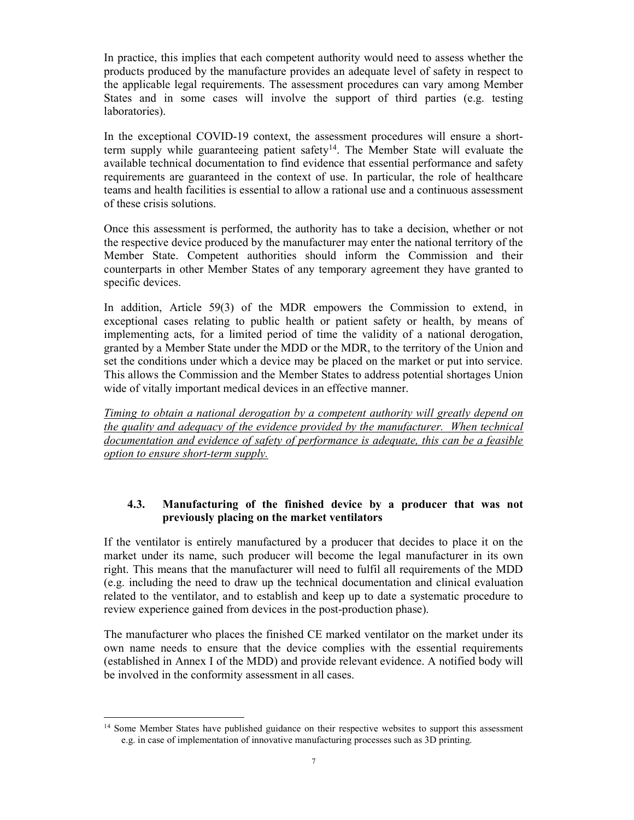In practice, this implies that each competent authority would need to assess whether the products produced by the manufacture provides an adequate level of safety in respect to the applicable legal requirements. The assessment procedures can vary among Member States and in some cases will involve the support of third parties (e.g. testing laboratories).

In the exceptional COVID-19 context, the assessment procedures will ensure a shortterm supply while guaranteeing patient safety<sup>14</sup>. The Member State will evaluate the available technical documentation to find evidence that essential performance and safety requirements are guaranteed in the context of use. In particular, the role of healthcare teams and health facilities is essential to allow a rational use and a continuous assessment of these crisis solutions.

Once this assessment is performed, the authority has to take a decision, whether or not the respective device produced by the manufacturer may enter the national territory of the Member State. Competent authorities should inform the Commission and their counterparts in other Member States of any temporary agreement they have granted to specific devices.

In addition, Article 59(3) of the MDR empowers the Commission to extend, in exceptional cases relating to public health or patient safety or health, by means of implementing acts, for a limited period of time the validity of a national derogation, granted by a Member State under the MDD or the MDR, to the territory of the Union and set the conditions under which a device may be placed on the market or put into service. This allows the Commission and the Member States to address potential shortages Union wide of vitally important medical devices in an effective manner.

Timing to obtain a national derogation by a competent authority will greatly depend on the quality and adequacy of the evidence provided by the manufacturer. When technical documentation and evidence of safety of performance is adequate, this can be a feasible option to ensure short-term supply.

#### 4.3. Manufacturing of the finished device by a producer that was not previously placing on the market ventilators

If the ventilator is entirely manufactured by a producer that decides to place it on the market under its name, such producer will become the legal manufacturer in its own right. This means that the manufacturer will need to fulfil all requirements of the MDD (e.g. including the need to draw up the technical documentation and clinical evaluation related to the ventilator, and to establish and keep up to date a systematic procedure to review experience gained from devices in the post-production phase).

The manufacturer who places the finished CE marked ventilator on the market under its own name needs to ensure that the device complies with the essential requirements (established in Annex I of the MDD) and provide relevant evidence. A notified body will be involved in the conformity assessment in all cases.

<sup>&</sup>lt;sup>14</sup> Some Member States have published guidance on their respective websites to support this assessment e.g. in case of implementation of innovative manufacturing processes such as 3D printing.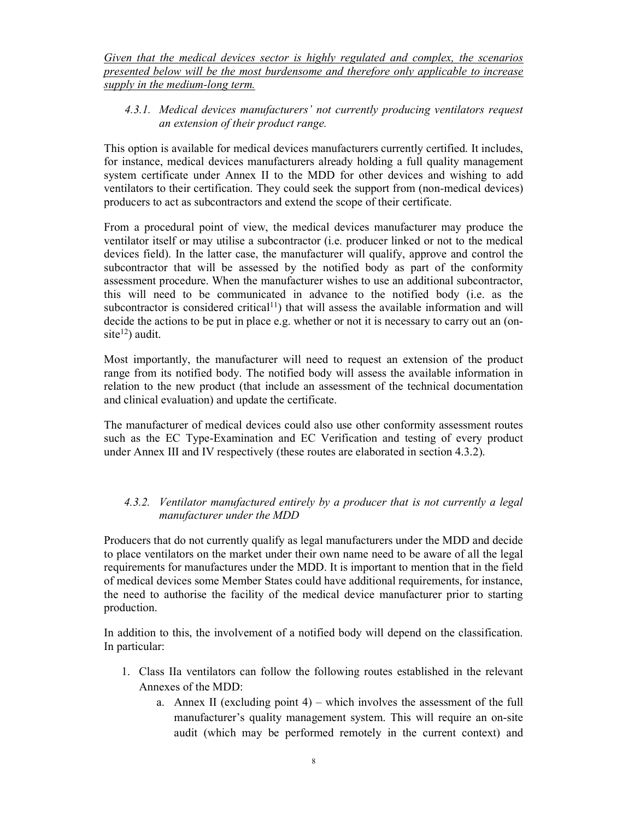Given that the medical devices sector is highly regulated and complex, the scenarios presented below will be the most burdensome and therefore only applicable to increase supply in the medium-long term.

#### 4.3.1. Medical devices manufacturers' not currently producing ventilators request an extension of their product range.

This option is available for medical devices manufacturers currently certified. It includes, for instance, medical devices manufacturers already holding a full quality management system certificate under Annex II to the MDD for other devices and wishing to add ventilators to their certification. They could seek the support from (non-medical devices) producers to act as subcontractors and extend the scope of their certificate.

From a procedural point of view, the medical devices manufacturer may produce the ventilator itself or may utilise a subcontractor (i.e. producer linked or not to the medical devices field). In the latter case, the manufacturer will qualify, approve and control the subcontractor that will be assessed by the notified body as part of the conformity assessment procedure. When the manufacturer wishes to use an additional subcontractor, this will need to be communicated in advance to the notified body (i.e. as the subcontractor is considered critical<sup>11</sup>) that will assess the available information and will decide the actions to be put in place e.g. whether or not it is necessary to carry out an (onsite $^{12}$ ) audit.

Most importantly, the manufacturer will need to request an extension of the product range from its notified body. The notified body will assess the available information in relation to the new product (that include an assessment of the technical documentation and clinical evaluation) and update the certificate.

The manufacturer of medical devices could also use other conformity assessment routes such as the EC Type-Examination and EC Verification and testing of every product under Annex III and IV respectively (these routes are elaborated in section 4.3.2).

#### 4.3.2. Ventilator manufactured entirely by a producer that is not currently a legal manufacturer under the MDD

Producers that do not currently qualify as legal manufacturers under the MDD and decide to place ventilators on the market under their own name need to be aware of all the legal requirements for manufactures under the MDD. It is important to mention that in the field of medical devices some Member States could have additional requirements, for instance, the need to authorise the facility of the medical device manufacturer prior to starting production.

In addition to this, the involvement of a notified body will depend on the classification. In particular:

- 1. Class IIa ventilators can follow the following routes established in the relevant Annexes of the MDD:
	- a. Annex II (excluding point 4) which involves the assessment of the full manufacturer's quality management system. This will require an on-site audit (which may be performed remotely in the current context) and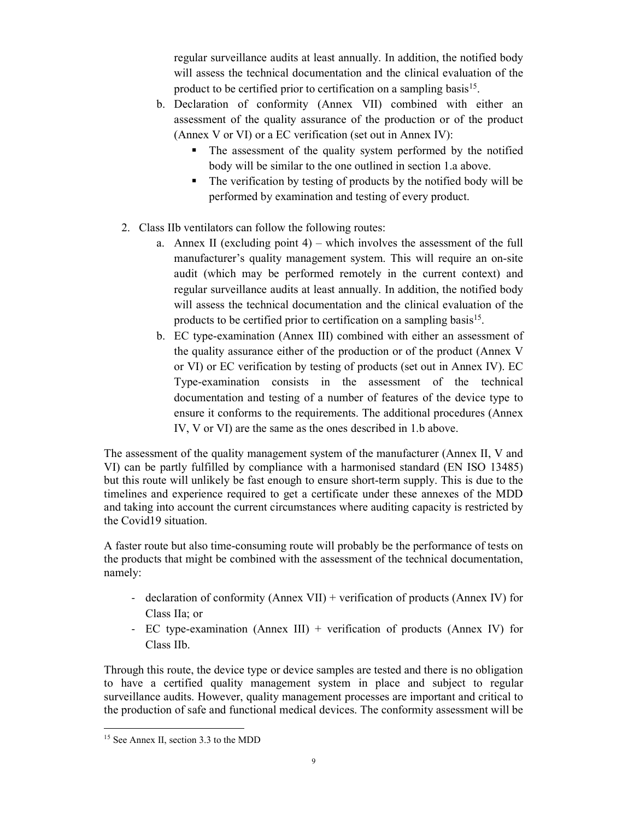regular surveillance audits at least annually. In addition, the notified body will assess the technical documentation and the clinical evaluation of the product to be certified prior to certification on a sampling basis<sup>15</sup>.

- b. Declaration of conformity (Annex VII) combined with either an assessment of the quality assurance of the production or of the product (Annex V or VI) or a EC verification (set out in Annex IV):
	- The assessment of the quality system performed by the notified body will be similar to the one outlined in section 1.a above.
	- The verification by testing of products by the notified body will be performed by examination and testing of every product.
- 2. Class IIb ventilators can follow the following routes:
	- a. Annex II (excluding point 4) which involves the assessment of the full manufacturer's quality management system. This will require an on-site audit (which may be performed remotely in the current context) and regular surveillance audits at least annually. In addition, the notified body will assess the technical documentation and the clinical evaluation of the products to be certified prior to certification on a sampling basis<sup>15</sup>.
	- b. EC type-examination (Annex III) combined with either an assessment of the quality assurance either of the production or of the product (Annex V or VI) or EC verification by testing of products (set out in Annex IV). EC Type-examination consists in the assessment of the technical documentation and testing of a number of features of the device type to ensure it conforms to the requirements. The additional procedures (Annex IV, V or VI) are the same as the ones described in 1.b above.

The assessment of the quality management system of the manufacturer (Annex II, V and VI) can be partly fulfilled by compliance with a harmonised standard (EN ISO 13485) but this route will unlikely be fast enough to ensure short-term supply. This is due to the timelines and experience required to get a certificate under these annexes of the MDD and taking into account the current circumstances where auditing capacity is restricted by the Covid19 situation.

A faster route but also time-consuming route will probably be the performance of tests on the products that might be combined with the assessment of the technical documentation, namely:

- declaration of conformity (Annex VII) + verification of products (Annex IV) for Class IIa; or
- EC type-examination (Annex III) + verification of products (Annex IV) for Class IIb.

Through this route, the device type or device samples are tested and there is no obligation to have a certified quality management system in place and subject to regular surveillance audits. However, quality management processes are important and critical to the production of safe and functional medical devices. The conformity assessment will be

<sup>-</sup>15 See Annex II, section 3.3 to the MDD